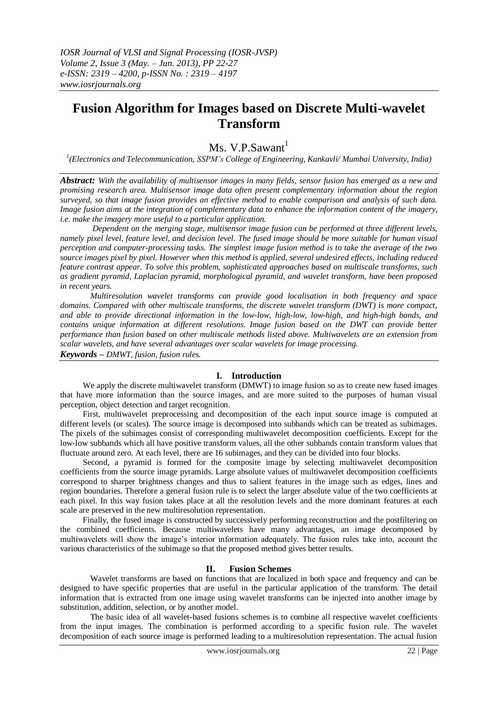*IOSR Journal of VLSI and Signal Processing (IOSR-JVSP) Volume 2, Issue 3 (May. – Jun. 2013), PP 22-27 e-ISSN: 2319 – 4200, p-ISSN No. : 2319 – 4197 www.iosrjournals.org* 

# **Fusion Algorithm for Images based on Discrete Multi-wavelet Transform**

# Ms. V.P.Sawant $<sup>1</sup>$ </sup>

*1 (Electronics and Telecommunication, SSPM's College of Engineering, Kankavli/ Mumbai University, India)*

*Abstract: With the availability of multisensor images in many fields, sensor fusion has emerged as a new and promising research area. Multisensor image data often present complementary information about the region surveyed, so that image fusion provides an effective method to enable comparison and analysis of such data. Image fusion aims at the integration of complementary data to enhance the information content of the imagery, i.e. make the imagery more useful to a particular application.*

*Dependent on the merging stage, multisensor image fusion can be performed at three different levels, namely pixel level, feature level, and decision level. The fused image should be more suitable for human visual perception and computer-processing tasks. The simplest image fusion method is to take the average of the two source images pixel by pixel. However when this method is applied, several undesired effects, including reduced feature contrast appear. To solve this problem, sophisticated approaches based on multiscale transforms, such as gradient pyramid, Laplacian pyramid, morphological pyramid, and wavelet transform, have been proposed in recent years.* 

*Multiresolution wavelet transforms can provide good localisation in both frequency and space domains. Compared with other multiscale transforms, the discrete wavelet transform (DWT) is more compact, and able to provide directional information in the low-low, high-low, low-high, and high-high bands, and contains unique information at different resolutions. Image fusion based on the DWT can provide better performance than fusion based on other multiscale methods listed above. Multiwavelets are an extension from scalar wavelets, and have several advantages over scalar wavelets for image processing. Keywords – DMWT, fusion, fusion rules.*

#### **I. Introduction**

We apply the discrete multiwavelet transform (DMWT) to image fusion so as to create new fused images that have more information than the source images, and are more suited to the purposes of human visual perception, object detection and target recognition.

First, multiwavelet preprocessing and decomposition of the each input source image is computed at different levels (or scales). The source image is decomposed into subbands which can be treated as subimages. The pixels of the subimages consist of corresponding multiwavelet decomposition coefficients. Except for the low-low subbands which all have positive transform values, all the other subbands contain transform values that fluctuate around zero. At each level, there are 16 subimages, and they can be divided into four blocks.

Second, a pyramid is formed for the composite image by selecting multiwavelet decomposition coefficients from the source image pyramids. Large absolute values of multiwavelet decomposition coefficients correspond to sharper brightness changes and thus to salient features in the image such as edges, lines and region boundaries. Therefore a general fusion rule is to select the larger absolute value of the two coefficients at each pixel. In this way fusion takes place at all the resolution levels and the more dominant features at each scale are preserved in the new multiresolution representation.

Finally, the fused image is constructed by successively performing reconstruction and the postfiltering on the combined coefficients. Because multiwavelets have many advantages, an image decomposed by multiwavelets will show the image"s interior information adequately. The fusion rules take into, account the various characteristics of the subimage so that the proposed method gives better results.

#### **II. Fusion Schemes**

Wavelet transforms are based on functions that are localized in both space and frequency and can be designed to have specific properties that are useful in the particular application of the transform. The detail information that is extracted from one image using wavelet transforms can be injected into another image by substitution, addition, selection, or by another model.

The basic idea of all wavelet-based fusions schemes is to combine all respective wavelet coefficients from the input images. The combination is performed according to a specific fusion rule. The wavelet decomposition of each source image is performed leading to a multiresolution representation. The actual fusion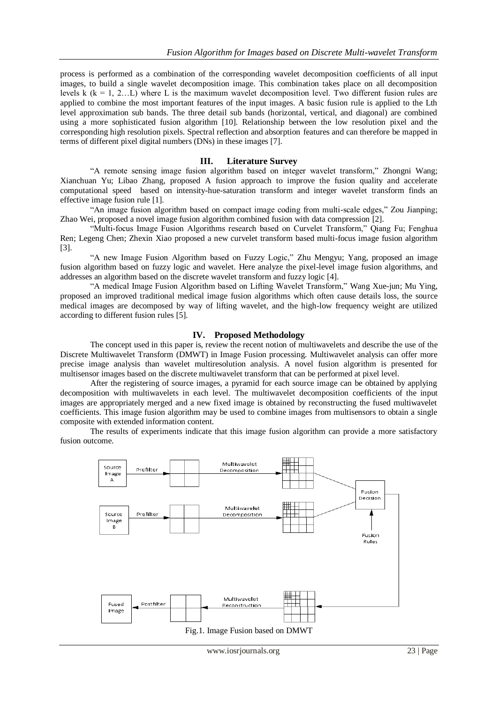process is performed as a combination of the corresponding wavelet decomposition coefficients of all input images, to build a single wavelet decomposition image. This combination takes place on all decomposition levels k ( $k = 1, 2...$ L) where L is the maximum wavelet decomposition level. Two different fusion rules are applied to combine the most important features of the input images. A basic fusion rule is applied to the Lth level approximation sub bands. The three detail sub bands (horizontal, vertical, and diagonal) are combined using a more sophisticated fusion algorithm [10]. Relationship between the low resolution pixel and the corresponding high resolution pixels. Spectral reflection and absorption features and can therefore be mapped in terms of different pixel digital numbers (DNs) in these images [7].

#### **III. Literature Survey**

"A remote sensing image fusion algorithm based on integer wavelet transform," Zhongni Wang; Xianchuan Yu; Libao Zhang, proposed A fusion approach to improve the fusion quality and accelerate computational speed based on intensity-hue-saturation transform and integer wavelet transform finds an effective image fusion rule [1].

"An image fusion algorithm based on compact image coding from multi-scale edges," Zou Jianping; Zhao Wei, proposed a novel image fusion algorithm combined fusion with data compression [2].

"Multi-focus Image Fusion Algorithms research based on Curvelet Transform," Qiang Fu; Fenghua Ren; Legeng Chen; Zhexin Xiao proposed a new curvelet transform based multi-focus image fusion algorithm [3].

"A new Image Fusion Algorithm based on Fuzzy Logic," Zhu Mengyu; Yang, proposed an image fusion algorithm based on fuzzy logic and wavelet. Here analyze the pixel-level image fusion algorithms, and addresses an algorithm based on the discrete wavelet transform and fuzzy logic [4].

"A medical Image Fusion Algorithm based on Lifting Wavelet Transform," Wang Xue-jun; Mu Ying, proposed an improved traditional medical image fusion algorithms which often cause details loss, the source medical images are decomposed by way of lifting wavelet, and the high-low frequency weight are utilized according to different fusion rules [5].

#### **IV. Proposed Methodology**

The concept used in this paper is, review the recent notion of multiwavelets and describe the use of the Discrete Multiwavelet Transform (DMWT) in Image Fusion processing. Multiwavelet analysis can offer more precise image analysis than wavelet multiresolution analysis. A novel fusion algorithm is presented for multisensor images based on the discrete multiwavelet transform that can be performed at pixel level.

After the registering of source images, a pyramid for each source image can be obtained by applying decomposition with multiwavelets in each level. The multiwavelet decomposition coefficients of the input images are appropriately merged and a new fixed image is obtained by reconstructing the fused multiwavelet coefficients. This image fusion algorithm may be used to combine images from multisensors to obtain a single composite with extended information content.

The results of experiments indicate that this image fusion algorithm can provide a more satisfactory fusion outcome.



Fig.1. Image Fusion based on DMWT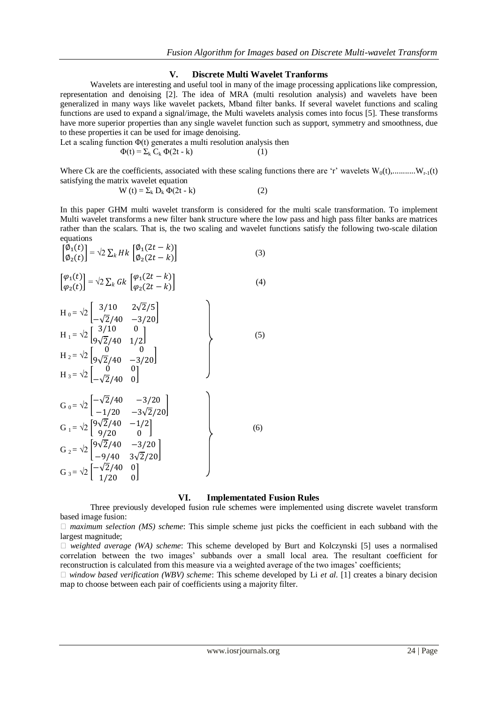#### **V. Discrete Multi Wavelet Tranforms**

Wavelets are interesting and useful tool in many of the image processing applications like compression, representation and denoising [2]. The idea of MRA (multi resolution analysis) and wavelets have been generalized in many ways like wavelet packets, Mband filter banks. If several wavelet functions and scaling functions are used to expand a signal/image, the Multi wavelets analysis comes into focus [5]. These transforms have more superior properties than any single wavelet function such as support, symmetry and smoothness, due to these properties it can be used for image denoising.

Let a scaling function  $\Phi(t)$  generates a multi resolution analysis then

$$
\Phi(t) = \Sigma_k C_k \Phi(2t - k) \tag{1}
$$

Where Ck are the coefficients, associated with these scaling functions there are 'r' wavelets  $W_0(t), \dots, W_{r-1}(t)$ satisfying the matrix wavelet equation

$$
W(t) = \sum_{k} D_k \Phi(2t - k)
$$
 (2)

In this paper GHM multi wavelet transform is considered for the multi scale transformation. To implement Multi wavelet transforms a new filter bank structure where the low pass and high pass filter banks are matrices rather than the scalars. That is, the two scaling and wavelet functions satisfy the following two-scale dilation equations

$$
\begin{bmatrix}\n\ddot{\varphi}_{1}(t) \\
\dot{\varphi}_{2}(t)\n\end{bmatrix} = \sqrt{2} \sum_{k} Hk \begin{bmatrix}\n\varphi_{1}(2t - k) \\
\varphi_{2}(2t - k)\n\end{bmatrix}
$$
\n(3)  
\n
$$
\begin{bmatrix}\n\varphi_{1}(t) \\
\varphi_{2}(t)\n\end{bmatrix} = \sqrt{2} \sum_{k} Gk \begin{bmatrix}\n\varphi_{1}(2t - k) \\
\varphi_{2}(2t - k)\n\end{bmatrix}
$$
\n(4)  
\n
$$
H_{0} = \sqrt{2} \begin{bmatrix}\n3/10 & 2\sqrt{2}/5 \\
-\sqrt{2}/40 & -3/20\n\end{bmatrix}
$$
\n(5)  
\n
$$
H_{1} = \sqrt{2} \begin{bmatrix}\n3/10 & 0 \\
9\sqrt{2}/40 & 1/2\n\end{bmatrix}
$$
\n(6)  
\n
$$
H_{2} = \sqrt{2} \begin{bmatrix}\n0 & 0 \\
-\sqrt{2}/40 & 0\n\end{bmatrix}
$$
\n(7)  
\n
$$
G_{0} = \sqrt{2} \begin{bmatrix}\n-\sqrt{2}/40 & -3/20 \\
-1/20 & -3\sqrt{2}/20\n\end{bmatrix}
$$
\n(8)  
\n
$$
G_{1} = \sqrt{2} \begin{bmatrix}\n9\sqrt{2}/40 & -1/2 \\
9/20 & 0\n\end{bmatrix}
$$
\n(9)  
\n
$$
G_{2} = \sqrt{2} \begin{bmatrix}\n9\sqrt{2}/40 & -3/20 \\
-9/40 & 3\sqrt{2}/20\n\end{bmatrix}
$$
\n(1/20)

### **VI. Implementated Fusion Rules**

Three previously developed fusion rule schemes were implemented using discrete wavelet transform based image fusion:

 *maximum selection (MS) scheme*: This simple scheme just picks the coefficient in each subband with the largest magnitude;

 *weighted average (WA) scheme*: This scheme developed by Burt and Kolczynski [5] uses a normalised correlation between the two images" subbands over a small local area. The resultant coefficient for reconstruction is calculated from this measure via a weighted average of the two images" coefficients;

*window based verification (WBV) scheme*: This scheme developed by Li *et al.* [1] creates a binary decision map to choose between each pair of coefficients using a majority filter.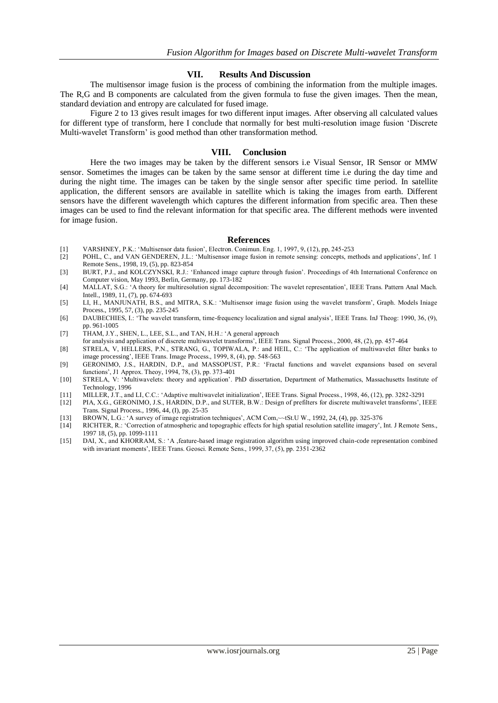## **VII. Results And Discussion**

The multisensor image fusion is the process of combining the information from the multiple images. The R,G and B components are calculated from the given formula to fuse the given images. Then the mean, standard deviation and entropy are calculated for fused image.

Figure 2 to 13 gives result images for two different input images. After observing all calculated values for different type of transform, here I conclude that normally for best multi-resolution image fusion "Discrete Multi-wavelet Transform" is good method than other transformation method.

#### **VIII. Conclusion**

Here the two images may be taken by the different sensors i.e Visual Sensor, IR Sensor or MMW sensor. Sometimes the images can be taken by the same sensor at different time i.e during the day time and during the night time. The images can be taken by the single sensor after specific time period. In satellite application, the different sensors are available in satellite which is taking the images from earth. Different sensors have the different wavelength which captures the different information from specific area. Then these images can be used to find the relevant information for that specific area. The different methods were invented for image fusion.

#### **References**

- [1] VARSHNEY, P.K.: "Multisensor data fusion", Electron. Conimun. Eng. 1, 1997, 9, (12), pp, 245-253
- [2] POHL, C., and VAN GENDEREN, J.L.: "Multisensor image fusion in remote sensing: concepts, methods and applications", Inf. 1 Remote Sens., 1998, 19, (5), pp. 823-854
- [3] BURT, P.J., and KOLCZYNSKI, R.J.: 'Enhanced image capture through fusion'. Proceedings of 4th International Conference on Computer vision, May 1993, Berlin, Germany, pp. 173-182
- [4] MALLAT, S.G.: "A theory for multiresolution signal decomposition: The wavelet representation", IEEE Trans. Pattern Anal Mach. Intell., 1989, 11, (7), pp. 674-693
- [5] LI, H., MANJUNATH, B.S., and MITRA, S.K.: "Multisensor image fusion using the wavelet transform", Graph. Models Iniage Process., 1995, 57, (3), pp. 235-245
- [6] DAUBECHIES, I.: 'The wavelet transform, time-frequency localization and signal analysis', IEEE Trans. InJ Theog: 1990, 36, (9), pp. 961-1005
- [7] THAM, J.Y., SHEN, L., LEE, S.L., and TAN, H.H.: 'A general approach
- for analysis and application of discrete multiwavelet transforms", IEEE Trans. Signal Process., 2000, 48, (2), pp. 457-464
- [8] STRELA, V, HELLERS, P.N., STRANG, G., TOPIWALA, P.: and HEIL, C.: "The application of multiwavelet filter banks to image processing', IEEE Trans. Image Process., 1999, 8, (4), pp. 548-563
- [9] GERONIMO, J.S., HARDIN, D.P., and MASSOPUST, P.R.: "Fractal functions and wavelet expansions based on several functions", J1 Approx. Theoy, 1994, 78, (3), pp. 373-401
- [10] STRELA, V: "Multiwavelets: theory and application". PhD dissertation, Department of Mathematics, Massachusetts Institute of Technology, 1996
- [11] MILLER, J.T., and LI, C.C.: "Adaptive multiwavelet initialization", IEEE Trans. Signal Process., 1998, 46, (12), pp. 3282-3291
- [12] PIA, X.G., GERONIMO, J.S., HARDIN, D.P., and SUTER, B.W.: Design of prefilters for discrete multiwavelet transforms", IEEE Trans. Signal Process., 1996, 44, (I), pp. 25-35
- [13] BROWN, L.G.: "A survey of image registration techniques", ACM Com,~~tSt.U W., 1992, 24, (4), pp. 325-376
- [14] RICHTER, R.: "Correction of atmospheric and topographic effects for high spatial resolution satellite imagery", Int. J Remote Sens., 1997 18, (5), pp. 1099-1111
- [15] DAI, X., and KHORRAM, S.: "A ,feature-based image registration algorithm using improved chain-code representation combined with invariant moments', IEEE Trans. Geosci. Remote Sens., 1999, 37, (5), pp. 2351-2362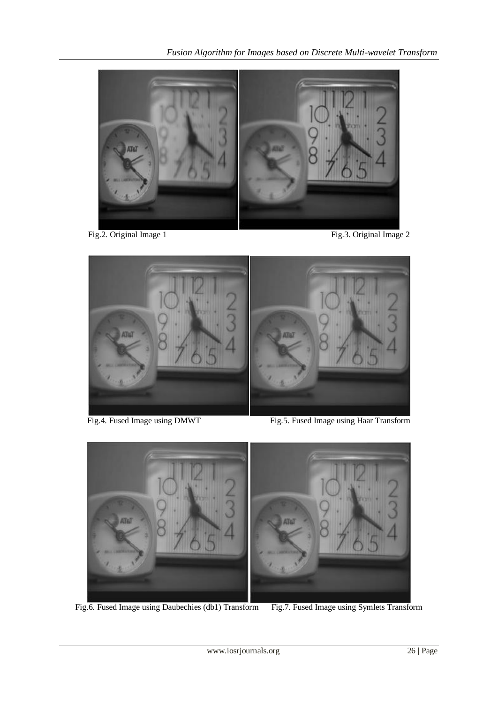

Fig.2. Original Image 1 Fig.3. Original Image 2



Fig.4. Fused Image using DMWT Fig.5. Fused Image using Haar Transform



Fig.6. Fused Image using Daubechies (db1) Transform Fig.7. Fused Image using Symlets Transform